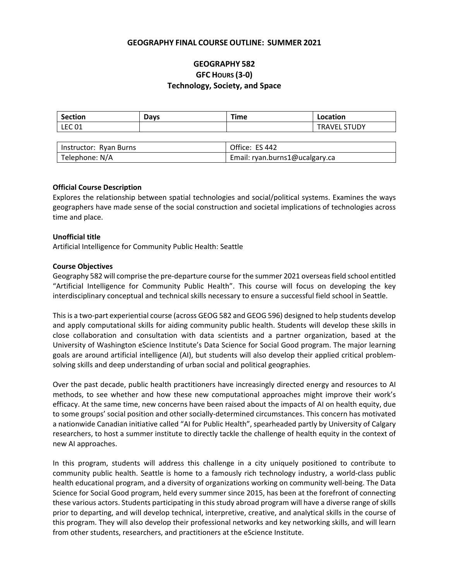### **GEOGRAPHY FINAL COURSE OUTLINE: SUMMER 2021**

# **GEOGRAPHY 582 GFC HOURS (3-0) Technology, Society, and Space**

| <b>Section</b> | Days | Time | Location                              |
|----------------|------|------|---------------------------------------|
| <b>LEC 01</b>  |      |      | L STUDY<br><b>TRAVEL</b><br><b>LL</b> |

| Instructor: Ryan Burns | Office: ES 442                 |
|------------------------|--------------------------------|
| Telephone: N/A         | Email: ryan.burns1@ucalgary.ca |

#### **Official Course Description**

Explores the relationship between spatial technologies and social/political systems. Examines the ways geographers have made sense of the social construction and societal implications of technologies across time and place.

#### **Unofficial title**

Artificial Intelligence for Community Public Health: Seattle

#### **Course Objectives**

Geography 582 will comprise the pre-departure course for the summer 2021 overseas field school entitled "Artificial Intelligence for Community Public Health". This course will focus on developing the key interdisciplinary conceptual and technical skills necessary to ensure a successful field school in Seattle.

This is a two-part experiential course (across GEOG 582 and GEOG 596) designed to help students develop and apply computational skills for aiding community public health. Students will develop these skills in close collaboration and consultation with data scientists and a partner organization, based at the University of Washington eScience Institute's Data Science for Social Good program. The major learning goals are around artificial intelligence (AI), but students will also develop their applied critical problemsolving skills and deep understanding of urban social and political geographies.

Over the past decade, public health practitioners have increasingly directed energy and resources to AI methods, to see whether and how these new computational approaches might improve their work's efficacy. At the same time, new concerns have been raised about the impacts of AI on health equity, due to some groups' social position and other socially-determined circumstances. This concern has motivated a nationwide Canadian initiative called "AI for Public Health", spearheaded partly by University of Calgary researchers, to host a summer institute to directly tackle the challenge of health equity in the context of new AI approaches.

In this program, students will address this challenge in a city uniquely positioned to contribute to community public health. Seattle is home to a famously rich technology industry, a world-class public health educational program, and a diversity of organizations working on community well-being. The Data Science for Social Good program, held every summer since 2015, has been at the forefront of connecting these various actors. Students participating in this study abroad program will have a diverse range of skills prior to departing, and will develop technical, interpretive, creative, and analytical skills in the course of this program. They will also develop their professional networks and key networking skills, and will learn from other students, researchers, and practitioners at the eScience Institute.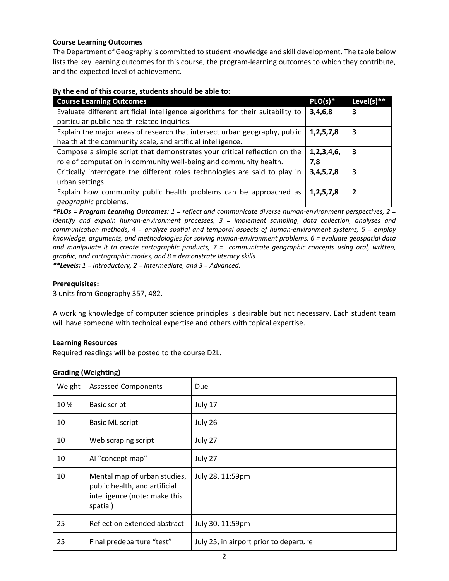# **Course Learning Outcomes**

The Department of Geography is committed to student knowledge and skill development. The table below lists the key learning outcomes for this course, the program-learning outcomes to which they contribute, and the expected level of achievement.

#### **By the end of this course, students should be able to:**

| <b>Course Learning Outcomes</b>                                                | $PLO(s)*$      | Level(s) $**$  |
|--------------------------------------------------------------------------------|----------------|----------------|
| Evaluate different artificial intelligence algorithms for their suitability to | 3,4,6,8        | 3              |
| particular public health-related inquiries.                                    |                |                |
| Explain the major areas of research that intersect urban geography, public     | 1,2,5,7,8      | 3              |
| health at the community scale, and artificial intelligence.                    |                |                |
| Compose a simple script that demonstrates your critical reflection on the      | 1, 2, 3, 4, 6, | 3              |
| role of computation in community well-being and community health.              | 7,8            |                |
| Critically interrogate the different roles technologies are said to play in    | 3,4,5,7,8      | 3              |
| urban settings.                                                                |                |                |
| Explain how community public health problems can be approached as              | 1,2,5,7,8      | $\overline{2}$ |
| geographic problems.                                                           |                |                |

*\*PLOs = Program Learning Outcomes: 1 = reflect and communicate diverse human-environment perspectives, 2 = identify and explain human-environment processes, 3 = implement sampling, data collection, analyses and communication methods, 4 = analyze spatial and temporal aspects of human-environment systems, 5 = employ knowledge, arguments, and methodologies for solving human-environment problems, 6 = evaluate geospatial data and manipulate it to create cartographic products, 7 = communicate geographic concepts using oral, written, graphic, and cartographic modes, and 8 = demonstrate literacy skills.*

*\*\*Levels: 1 = Introductory, 2 = Intermediate, and 3 = Advanced.*

#### **Prerequisites:**

3 units from Geography 357, 482.

A working knowledge of computer science principles is desirable but not necessary. Each student team will have someone with technical expertise and others with topical expertise.

#### **Learning Resources**

Required readings will be posted to the course D2L.

#### **Grading (Weighting)**

| Weight | <b>Assessed Components</b>                                                                                 | Due                                    |
|--------|------------------------------------------------------------------------------------------------------------|----------------------------------------|
| 10 %   | <b>Basic script</b>                                                                                        | July 17                                |
| 10     | <b>Basic ML script</b>                                                                                     | July 26                                |
| 10     | Web scraping script                                                                                        | July 27                                |
| 10     | Al "concept map"                                                                                           | July 27                                |
| 10     | Mental map of urban studies,<br>public health, and artificial<br>intelligence (note: make this<br>spatial) | July 28, 11:59pm                       |
| 25     | Reflection extended abstract                                                                               | July 30, 11:59pm                       |
| 25     | Final predeparture "test"                                                                                  | July 25, in airport prior to departure |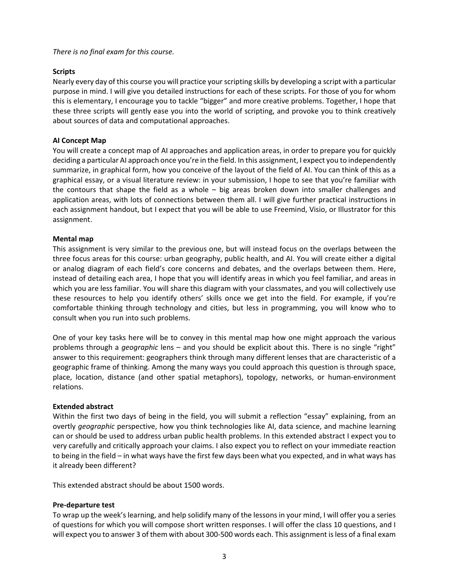*There is no final exam for this course.* 

# **Scripts**

Nearly every day of this course you will practice your scripting skills by developing a script with a particular purpose in mind. I will give you detailed instructions for each of these scripts. For those of you for whom this is elementary, I encourage you to tackle "bigger" and more creative problems. Together, I hope that these three scripts will gently ease you into the world of scripting, and provoke you to think creatively about sources of data and computational approaches.

# **AI Concept Map**

You will create a concept map of AI approaches and application areas, in order to prepare you for quickly deciding a particular AI approach once you're in the field. In this assignment, I expect you to independently summarize, in graphical form, how you conceive of the layout of the field of AI. You can think of this as a graphical essay, or a visual literature review: in your submission, I hope to see that you're familiar with the contours that shape the field as a whole – big areas broken down into smaller challenges and application areas, with lots of connections between them all. I will give further practical instructions in each assignment handout, but I expect that you will be able to use Freemind, Visio, or Illustrator for this assignment.

# **Mental map**

This assignment is very similar to the previous one, but will instead focus on the overlaps between the three focus areas for this course: urban geography, public health, and AI. You will create either a digital or analog diagram of each field's core concerns and debates, and the overlaps between them. Here, instead of detailing each area, I hope that you will identify areas in which you feel familiar, and areas in which you are less familiar. You will share this diagram with your classmates, and you will collectively use these resources to help you identify others' skills once we get into the field. For example, if you're comfortable thinking through technology and cities, but less in programming, you will know who to consult when you run into such problems.

One of your key tasks here will be to convey in this mental map how one might approach the various problems through a *geographic* lens – and you should be explicit about this. There is no single "right" answer to this requirement: geographers think through many different lenses that are characteristic of a geographic frame of thinking. Among the many ways you could approach this question is through space, place, location, distance (and other spatial metaphors), topology, networks, or human-environment relations.

# **Extended abstract**

Within the first two days of being in the field, you will submit a reflection "essay" explaining, from an overtly *geographic* perspective, how you think technologies like AI, data science, and machine learning can or should be used to address urban public health problems. In this extended abstract I expect you to very carefully and critically approach your claims. I also expect you to reflect on your immediate reaction to being in the field – in what ways have the first few days been what you expected, and in what ways has it already been different?

This extended abstract should be about 1500 words.

# **Pre-departure test**

To wrap up the week's learning, and help solidify many of the lessons in your mind, I will offer you a series of questions for which you will compose short written responses. I will offer the class 10 questions, and I will expect you to answer 3 of them with about 300-500 words each. This assignment is less of a final exam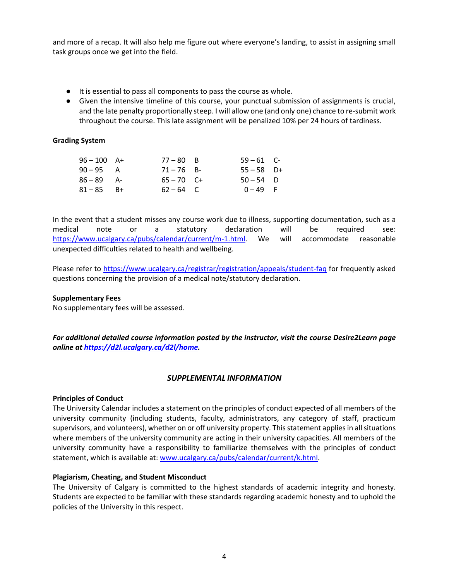and more of a recap. It will also help me figure out where everyone's landing, to assist in assigning small task groups once we get into the field.

- It is essential to pass all components to pass the course as whole.
- Given the intensive timeline of this course, your punctual submission of assignments is crucial, and the late penalty proportionally steep. I will allow one (and only one) chance to re-submit work throughout the course. This late assignment will be penalized 10% per 24 hours of tardiness.

# **Grading System**

| $96 - 100$ A+ | $77 - 80$ B  | $59 - 61$ C- |  |
|---------------|--------------|--------------|--|
| $90 - 95$ A   | $71 - 76$ B- | $55 - 58$ D+ |  |
| $86 - 89$ A-  | $65 - 70$ C+ | $50 - 54$ D  |  |
| $81 - 85$ B+  | $62 - 64$ C  | $0 - 49$ F   |  |

In the event that a student misses any course work due to illness, supporting documentation, such as a medical note or a statutory declaration will be required see: [https://www.ucalgary.ca/pubs/calendar/current/m-1.html.](https://www.ucalgary.ca/pubs/calendar/current/m-1.html) We will accommodate reasonable unexpected difficulties related to health and wellbeing.

Please refer to<https://www.ucalgary.ca/registrar/registration/appeals/student-faq> for frequently asked questions concerning the provision of a medical note/statutory declaration.

# **Supplementary Fees**

No supplementary fees will be assessed.

*For additional detailed course information posted by the instructor, visit the course Desire2Learn page online at [https://d2l.ucalgary.ca/d2l/home.](https://d2l.ucalgary.ca/d2l/home)*

# *SUPPLEMENTAL INFORMATION*

# **Principles of Conduct**

The University Calendar includes a statement on the principles of conduct expected of all members of the university community (including students, faculty, administrators, any category of staff, practicum supervisors, and volunteers), whether on or off university property. This statement applies in all situations where members of the university community are acting in their university capacities. All members of the university community have a responsibility to familiarize themselves with the principles of conduct statement, which is available at: [www.ucalgary.ca/pubs/calendar/current/k.html.](http://www.ucalgary.ca/pubs/calendar/current/k.html)

# **Plagiarism, Cheating, and Student Misconduct**

The University of Calgary is committed to the highest standards of academic integrity and honesty. Students are expected to be familiar with these standards regarding academic honesty and to uphold the policies of the University in this respect.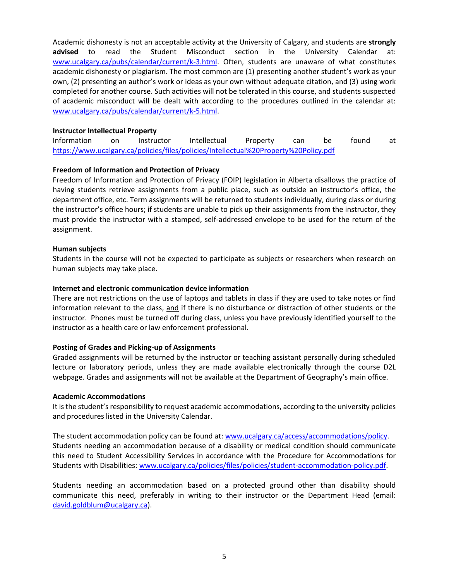Academic dishonesty is not an acceptable activity at the University of Calgary, and students are **strongly advised** to read the Student Misconduct section in the University Calendar at: [www.ucalgary.ca/pubs/calendar/current/k-3.html.](http://www.ucalgary.ca/pubs/calendar/current/k-3.html) Often, students are unaware of what constitutes academic dishonesty or plagiarism. The most common are (1) presenting another student's work as your own, (2) presenting an author's work or ideas as your own without adequate citation, and (3) using work completed for another course. Such activities will not be tolerated in this course, and students suspected of academic misconduct will be dealt with according to the procedures outlined in the calendar at: [www.ucalgary.ca/pubs/calendar/current/k-5.html.](http://www.ucalgary.ca/pubs/calendar/current/k-5.html)

# **Instructor Intellectual Property**

Information on Instructor Intellectual Property can be found at <https://www.ucalgary.ca/policies/files/policies/Intellectual%20Property%20Policy.pdf>

#### **Freedom of Information and Protection of Privacy**

Freedom of Information and Protection of Privacy (FOIP) legislation in Alberta disallows the practice of having students retrieve assignments from a public place, such as outside an instructor's office, the department office, etc. Term assignments will be returned to students individually, during class or during the instructor's office hours; if students are unable to pick up their assignments from the instructor, they must provide the instructor with a stamped, self-addressed envelope to be used for the return of the assignment.

#### **Human subjects**

Students in the course will not be expected to participate as subjects or researchers when research on human subjects may take place.

#### **Internet and electronic communication device information**

There are not restrictions on the use of laptops and tablets in class if they are used to take notes or find information relevant to the class, and if there is no disturbance or distraction of other students or the instructor. Phones must be turned off during class, unless you have previously identified yourself to the instructor as a health care or law enforcement professional.

# **Posting of Grades and Picking-up of Assignments**

Graded assignments will be returned by the instructor or teaching assistant personally during scheduled lecture or laboratory periods, unless they are made available electronically through the course D2L webpage. Grades and assignments will not be available at the Department of Geography's main office.

#### **Academic Accommodations**

It is the student's responsibility to request academic accommodations, according to the university policies and procedures listed in the University Calendar.

The student accommodation policy can be found at: [www.ucalgary.ca/access/accommodations/policy.](http://www.ucalgary.ca/access/accommodations/policy) Students needing an accommodation because of a disability or medical condition should communicate this need to Student Accessibility Services in accordance with the Procedure for Accommodations for Students with Disabilities: [www.ucalgary.ca/policies/files/policies/student-accommodation-policy.pdf.](http://www.ucalgary.ca/policies/files/policies/student-accommodation-policy.pdf)

Students needing an accommodation based on a protected ground other than disability should communicate this need, preferably in writing to their instructor or the Department Head (email: [david.goldblum@ucalgary.ca\)](mailto:david.goldblum@ucalgary.ca).